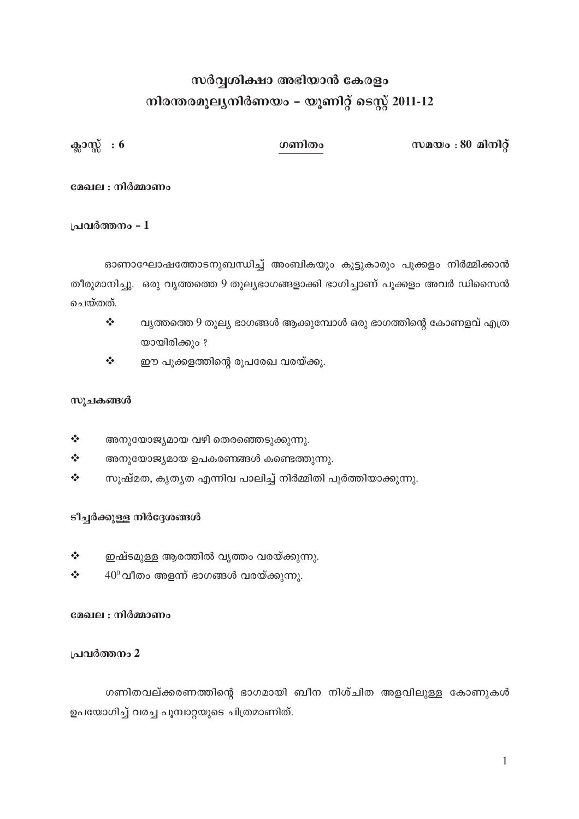# സർവ്വശിക്ഷാ അഭിയാൻ കേരളം നിരന്തരമൂല്യനിർണയം – യൂണിറ്റ് ടെസ്റ്റ് 2011-12

സമയം $: 80$  മിനിറ്റ്

ഗണിതം

ക്ലാസ്സ്:  $6$ 

മേഖല : നിർമ്മാണം

പ്രവർത്തനം - 1

ഓണാഘോഷത്തോടനുബന്ധിച്ച് അംബികയും കൂട്ടുകാരും പൂക്കളം നിർമ്മിക്കാൻ തീരുമാനിച്ചു. ഒരു വൃത്തത്തെ 9 തുല്യഭാഗങ്ങളാക്കി ഭാഗിച്ചാണ് പൂക്കളം അവർ ഡിസൈൻ ചെയ്തത്.

- $\frac{1}{2}$ വൃത്തത്തെ 9 തുല്യ ഭാഗങ്ങൾ ആക്കുമ്പോൾ ഒരു ഭാഗത്തിന്റെ കോണളവ് എത്ര യായിരിക്കും ?
- $\frac{1}{2}$ ഈ പൂക്കളത്തിന്റെ രൂപരേഖ വരയ്ക്കൂ.

## സുചകങ്ങൾ

- $\frac{1}{2}$ അനുയോജ്യമായ വഴി തെരഞ്ഞെടുക്കുന്നു.
- $\frac{1}{2}$ അനുയോജ്യമായ ഉപകരണങ്ങൾ കണ്ടെത്തുന്നു.
- $\frac{1}{2}$ സൂഷ്മത, കൃതൃത എന്നിവ പാലിച്ച് നിർമ്മിതി പൂർത്തിയാക്കുന്നു.

## ടീച്ചർക്കുള്ള നിർദ്ദേശങ്ങൾ

- $\frac{1}{2}$ ഇഷ്ടമുള്ള ആരത്തിൽ വൃത്തം വരയ്ക്കുന്നു.
- $\frac{1}{2}$  $40^{\circ}$ വീതം അളന്ന് ഭാഗങ്ങൾ വരയ്ക്കുന്നു.

#### മേഖല : നിർമ്മാണം

## പ്രവർത്തനം 2

ഗണിതവല്ക്കരണത്തിന്റെ ഭാഗമായി ബീന നിശ്ചിത അളവിലുള്ള കോണുകൾ ഉപയോഗിച്ച് വരച്ച പുമ്പാറ്റയുടെ ചിത്രമാണിത്.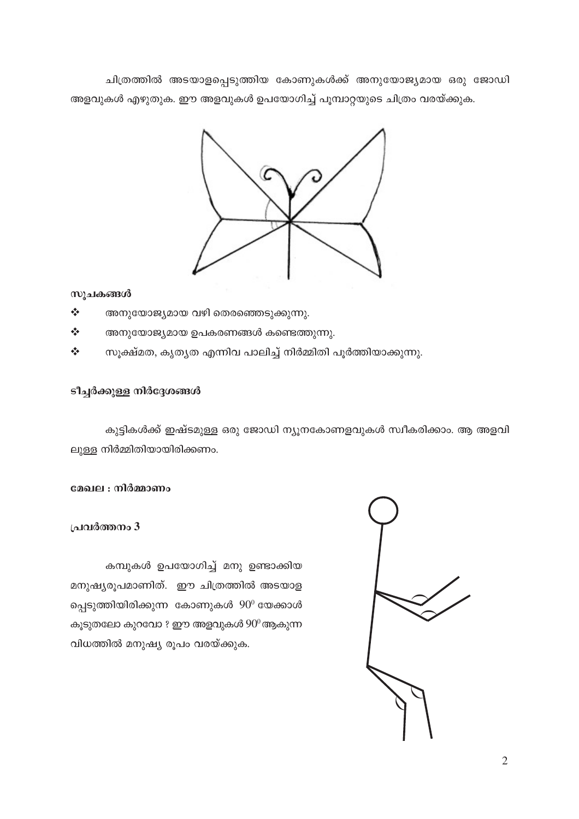ചിത്രത്തിൽ അടയാളപ്പെടുത്തിയ കോണുകൾക്ക് അനുയോജ്യമായ ഒരു ജോഡി അളവുകൾ എഴുതുക. ഈ അളവുകൾ ഉപയോഗിച്ച് പൂമ്പാറ്റയുടെ ചിത്രം വരയ്ക്കുക.



#### സൂചകങ്ങൾ

- $\frac{1}{2}$ അനുയോജ്യമായ വഴി തെരഞ്ഞെടുക്കുന്നു.
- $\frac{1}{2}$ അനുയോജ്യമായ ഉപകരണങ്ങൾ കണ്ടെത്തുന്നു.
- $\frac{1}{2}$ സൂക്ഷ്മത, കൃതൃത എന്നിവ പാലിച്ച് നിർമ്മിതി പൂർത്തിയാക്കുന്നു.

## ടീച്ചർക്കുള്ള നിർദ്ദേശങ്ങൾ

കുട്ടികൾക്ക് ഇഷ്ടമുള്ള ഒരു ജോഡി ന്യൂനകോണളവുകൾ സ്വീകരിക്കാം. ആ അളവി ലുള്ള നിർമ്മിതിയായിരിക്കണം.

## മേഖല : നിർമ്മാണം

### പ്രവർത്തനം 3

കമ്പുകൾ ഉപയോഗിച്ച് മനു ഉണ്ടാക്കിയ മനുഷ്യരൂപമാണിത്. ഈ ചിത്രത്തിൽ അടയാള പ്പെടുത്തിയിരിക്കുന്ന കോണുകൾ  $90^{\rm o}$  യേക്കാൾ കൂടുതലോ കുറവോ ? ഈ അളവുകൾ  $90^0$ ആകുന്ന വിധത്തിൽ മനുഷ്യ രൂപം വരയ്ക്കുക.

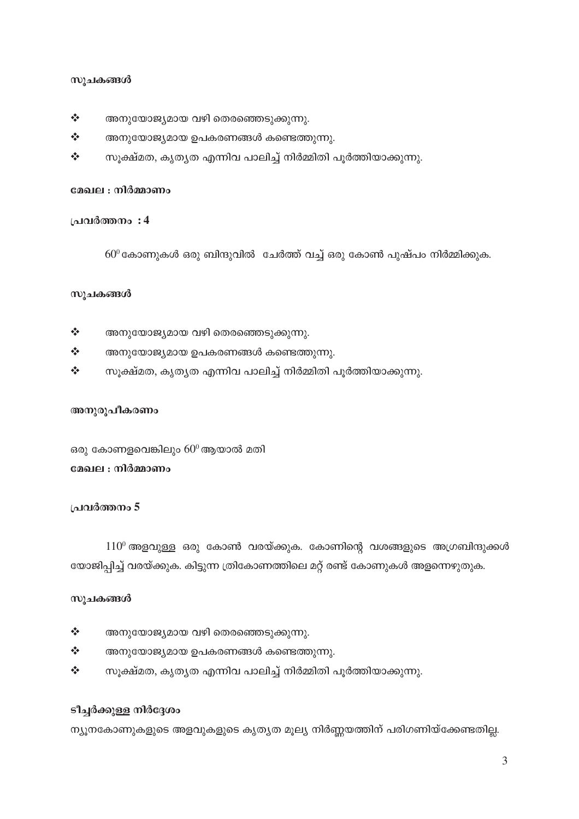ന്യൂനകോണുകളുടെ അളവുകളുടെ കൃത്യത മൂല്യ നിർണ്ണയത്തിന് പരിഗണിയ്ക്കേണ്ടതില്ല.

ടീച്ചർക്കുള്ള നിർദ്ദേശം

 $\frac{1}{2}$ സൂക്ഷ്മത, കൃതൃത എന്നിവ പാലിച്ച് നിർമ്മിതി പൂർത്തിയാക്കുന്നു.

- $\frac{1}{2}$ അനുയോജ്യമായ ഉപകരണങ്ങൾ കണ്ടെത്തുന്നു.
- 
- 
- 
- 
- 
- 
- 
- 
- 
- $\frac{1}{2}$
- 
- 
- 
- 
- അനുയോജ്യമായ വഴി തെരഞ്ഞെടുക്കുന്നു.
- $110^0$  അളവുള്ള ഒരു കോൺ വരയ്ക്കുക. കോണിന്റെ വശങ്ങളുടെ അഗ്രബിന്ദുക്കൾ യോജിപ്പിച്ച് വരയ്ക്കുക. കിട്ടുന്ന ത്രികോണത്തിലെ മറ്റ് രണ്ട് കോണുകൾ അളന്നെഴുതുക.

## പ്രവർത്തനം 5

സൂചകങ്ങൾ

## മേഖല : നിർമ്മാണം

ഒരു കോണളവെങ്കിലും  $60^{\circ}$ ആയാൽ മതി

## അനുരൂപീകരണം

- $\frac{1}{2}$ സൂക്ഷ്മത, കൃതൃത എന്നിവ പാലിച്ച് നിർമ്മിതി പൂർത്തിയാക്കുന്നു.
- $\frac{1}{2}$ അനുയോജ്യമായ ഉപകരണങ്ങൾ കണ്ടെത്തുന്നു.
- $\frac{1}{2}$ അനുയോജ്യമായ വഴി തെരഞ്ഞെടുക്കുന്നു.

#### സൂചകങ്ങൾ

 $60^0$ കോണുകൾ ഒരു ബിന്ദുവിൽ ചേർത്ത് വച്ച് ഒരു കോൺ പുഷ്പം നിർമ്മിക്കുക.

### പ്രവർത്തനം : 4

## മേഖല : നിർമ്മാണം

- $\frac{1}{2}$ സൂക്ഷ്മത, കൃതൃത എന്നിവ പാലിച്ച് നിർമ്മിതി പൂർത്തിയാക്കുന്നു.
- $\frac{1}{2}$ അനുയോജ്യമായ ഉപകരണങ്ങൾ കണ്ടെത്തുന്നു.
- $\frac{1}{2}$ അനുയോജ്യമായ വഴി തെരഞ്ഞെടുക്കുന്നു.

#### സുചകങ്ങൾ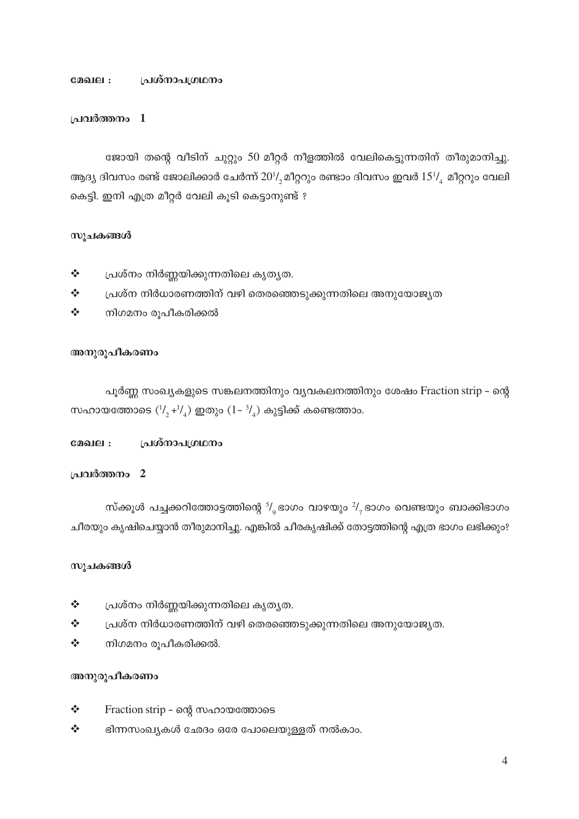#### പ്രശ്നാപഗ്രഥനം മേഖല $:$

#### പ്രവർത്തനം 1

ജോയി തന്റെ വീടിന് ചുറ്റും 50 മീറ്റർ നീളത്തിൽ വേലികെട്ടുന്നതിന് തീരുമാനിച്ചു. ആദ്യ ദിവസം രണ്ട് ജോലിക്കാർ ചേർന്ന്  $20^{1}/$ , മീറ്ററും രണ്ടാം ദിവസം ഇവർ  $15^{1}/$ , മീറ്ററും വേലി കെട്ടി. ഇനി എത്ര മീറ്റർ വേലി കൂടി കെട്ടാനുണ്ട് ?

#### സൂചകങ്ങൾ

- പ്രശ്നം നിർണ്ണയിക്കുന്നതിലെ കൃതൃത.  $\Phi_{\rm eff}^{\Phi_{\rm eff}}$
- $\frac{1}{2}$ പ്രശ്ന നിർധാരണത്തിന് വഴി തെരഞ്ഞെടുക്കുന്നതിലെ അനുയോജ്യത
- $\frac{1}{2}$ നിഗമനം രൂപീകരിക്കൽ

#### അനുരൂപീകരണം

പൂർണ്ണ സംഖ്യകളുടെ സങ്കലനത്തിനും വ്യവകലനത്തിനും ശേഷം Fraction strip – ന്റെ സഹായത്തോടെ  $(1/2, +1/4)$  ഇതും  $(1 - 3/4)$  കുട്ടിക്ക് കണ്ടെത്താം.

#### പ്രശ്നാപഗ്രഥനം മേഖല $\cdot$

#### പ്രവർത്തനം 2

സ്ക്കൂൾ പച്ചക്കറിത്തോട്ടത്തിന്റെ  $\frac{5}{6}$  ഭാഗം വാഴയും  $\frac{2}{3}$ ഭാഗം വെണ്ടയും ബാക്കിഭാഗം ചീരയും കൃഷിചെയ്യാൻ തീരുമാനിച്ചു. എങ്കിൽ ചീരകൃഷിക്ക് തോട്ടത്തിന്റെ എത്ര ഭാഗം ലഭിക്കും?

#### സൂചകങ്ങൾ

- $\frac{1}{2}$ പ്രശ്നം നിർണ്ണയിക്കുന്നതിലെ കൃതൃത.
- $\frac{1}{2}$ പ്രശ്ന നിർധാരണത്തിന് വഴി തെരഞ്ഞെടുക്കുന്നതിലെ അനുയോജൃത.
- $\frac{1}{2}$ നിഗമനം രൂപീകരിക്കൽ.

#### അനുരുപീകരണം

- $\sigma_{\rm eff}^{\rm th}$ Fraction strip - ന്റെ സഹായത്തോടെ
- $\frac{1}{2}$ ഭിന്നസംഖ്യകൾ ഛേദം ഒരേ പോലെയുള്ളത് നൽകാം.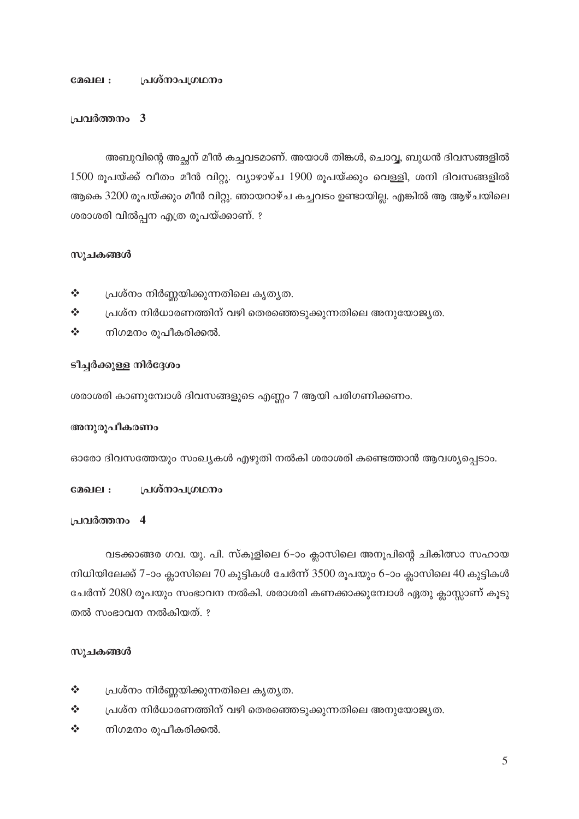#### പ്രശ്നാപഗ്രഥനം മേഖല $:$

#### പ്രവർത്തനം 3

അബുവിന്റെ അച്ഛന് മീൻ കച്ചവടമാണ്. അയാൾ തിങ്കൾ, ചൊവ്വ, ബുധൻ ദിവസങ്ങളിൽ  $1500$  രൂപയ്ക്ക് വീതം മീൻ വിറ്റു. വ്യാഴാഴ്ച  $1900$  രൂപയ്ക്കും വെള്ളി, ശനി ദിവസങ്ങളിൽ ആകെ 3200 രൂപയ്ക്കും മീൻ വിറ്റു. ഞായറാഴ്ച കച്ചവടം ഉണ്ടായില്ല. എങ്കിൽ ആ ആഴ്ചയിലെ ശരാശരി വിൽപ്പന എത്ര രൂപയ്ക്കാണ്. ?

#### സുചകങ്ങൾ

- $\frac{1}{2}$ പ്രശ്നം നിർണ്ണയിക്കുന്നതിലെ കൃത്യത.
- $\frac{1}{2}$ പ്രശ്ന നിർധാരണത്തിന് വഴി തെരഞ്ഞെടുക്കുന്നതിലെ അനുയോജ്യത.
- $\frac{1}{2}$ നിഗമനം രൂപീകരിക്കൽ.

#### ടീച്ചർക്കുള്ള നിർദ്ദേശം

ശരാശരി കാണുമ്പോൾ ദിവസങ്ങളുടെ എണ്ണം 7 ആയി പരിഗണിക്കണം.

#### അനുരൂപീകരണം

ഓരോ ദിവസത്തേയും സംഖ്യകൾ എഴുതി നൽകി ശരാശരി കണ്ടെത്താൻ ആവശ്യപ്പെടാം.

#### മേഖല : പ്രശ്നാപഗ്രഥനം

#### പ്രവർത്തനം 4

വടക്കാങ്ങര ഗവ. യു. പി. സ്കൂളിലെ 6-ാം ക്ലാസിലെ അനൂപിന്റെ ചികിത്സാ സഹായ നിധിയിലേക്ക് 7-ാം ക്ലാസിലെ 70 കുട്ടികൾ ചേർന്ന്  $3500$  രൂപയും 6-ാം ക്ലാസിലെ 40 കുട്ടികൾ ചേർന്ന് 2080 രൂപയും സംഭാവന നൽകി. ശരാശരി കണക്കാക്കുമ്പോൾ ഏതു ക്ലാസ്സാണ് കൂടു തൽ സംഭാവന നൽകിയത്. ?

- $\frac{1}{2}$ പ്രശ്നം നിർണ്ണയിക്കുന്നതിലെ കൃതൃത.
- $\frac{1}{2}$ പ്രശ്ന നിർധാരണത്തിന് വഴി തെരഞ്ഞെടുക്കുന്നതിലെ അനുയോജൃത.
- $\frac{1}{2}$ നിഗമനം രൂപീകരിക്കൽ.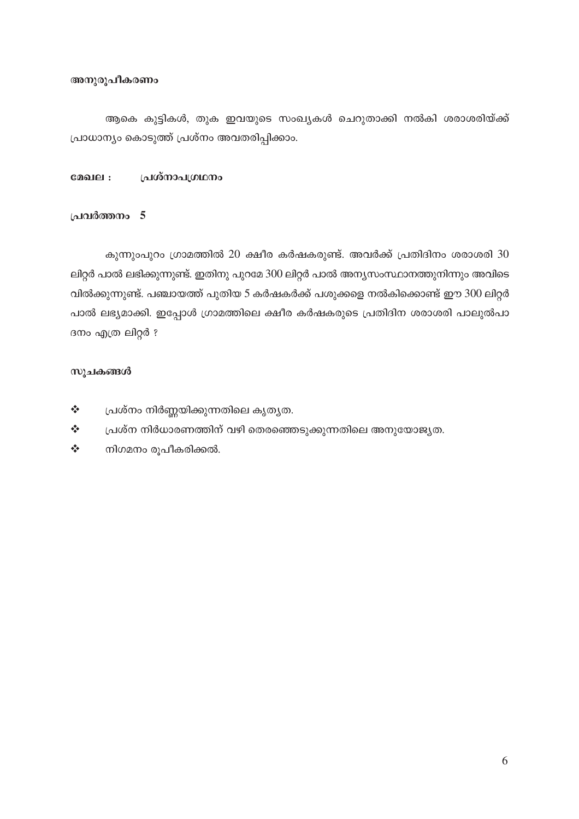#### അനുരൂപീകരണം

ആകെ കുട്ടികൾ, തുക ഇവയുടെ സംഖ്യകൾ ചെറുതാക്കി നൽകി ശരാശരിയ്ക്ക് പ്രാധാന്യം കൊടുത്ത് പ്രശ്നം അവതരിപ്പിക്കാം.

#### പ്രശ്നാപഗ്രഥനം മേഖല $\cdot$

#### പ്രവർത്തനം 5

കുന്നുംപുറം ഗ്രാമത്തിൽ 20 ക്ഷീര കർഷകരുണ്ട്. അവർക്ക് പ്രതിദിനം ശരാശരി 30 ലിറ്റർ പാൽ ലഭിക്കുന്നുണ്ട്. ഇതിനു പുറമേ 300 ലിറ്റർ പാൽ അന്യസംസ്ഥാനത്തുനിന്നും അവിടെ വിൽക്കുന്നുണ്ട്. പഞ്ചായത്ത് പുതിയ 5 കർഷകർക്ക് പശുക്കളെ നൽകിക്കൊണ്ട് ഈ 300 ലിറ്റർ പാൽ ലഭ്യമാക്കി. ഇപ്പോൾ ഗ്രാമത്തിലെ ക്ഷീര കർഷകരുടെ പ്രതിദിന ശരാശരി പാലുൽപാ ദനം എത്ര ലിറ്റർ ?

- $\frac{1}{2}$ പ്രശ്നം നിർണ്ണയിക്കുന്നതിലെ കൃത്യത.
- $\frac{1}{2}$ പ്രശ്ന നിർധാരണത്തിന് വഴി തെരഞ്ഞെടുക്കുന്നതിലെ അനുയോജ്യത.
- $\frac{1}{2}$ നിഗമനം രൂപീകരിക്കൽ.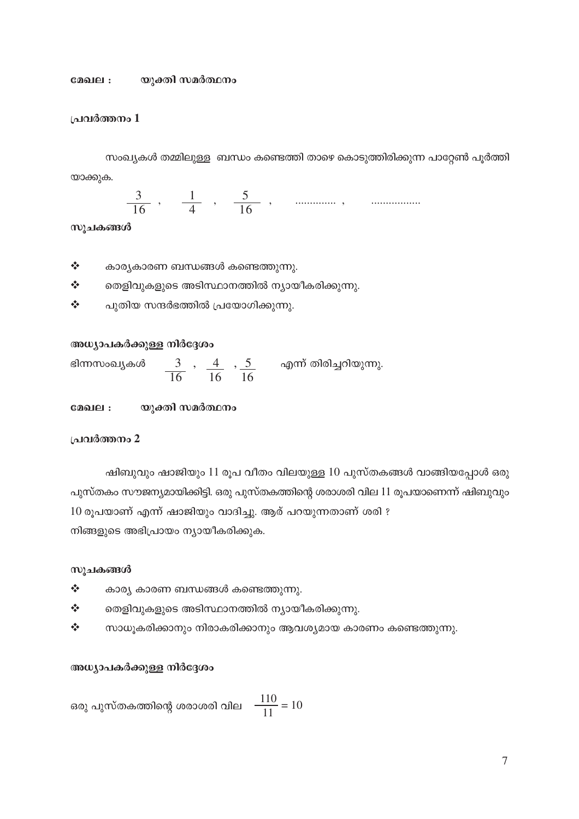മേഖല : യുക്തി സമർത്ഥനം

#### **{]h¿Ø\w 1**

സംഖ്യകൾ തമ്മിലുള്ള ബന്ധം കണ്ടെത്തി താഴെ കൊടുത്തിരിക്കുന്ന പാറ്റേൺ പൂർത്തി യാക്കുക.

> 3  $1/5$ 16 4 16 , , , .............. , .................

### സൂചകങ്ങൾ

- $\mathbf{\dot{\cdot}}$  കാര്യകാരണ ബന്ധങ്ങൾ കണ്ടെത്തുന്നു.
- $\boldsymbol{\dot{*}}$  ചെ തെളിവുകളുടെ അടിസ്ഥാനത്തിൽ ന്യായീകരിക്കുന്നു.
- $\mathbf{\hat{P}}$  പുതിയ സന്ദർഭത്തിൽ പ്രയോഗിക്കുന്നു.

#### <sup>അധ്യാപകർക്കുള്ള നിർദ്ദേശം</sup>

ഭിന്നസംഖ്യകൾ  $\qquad \frac{3}{\nu} \; , \; \frac{4}{\nu} \; \; , \frac{5}{\nu} \; \;$  എന്ന് തിരിച്ചറിയുന്നു. 16 16 16

മേഖല : യുക്തി സമർത്ഥനം

#### **{]h¿Ø\w 2**

ഷിബുവും ഷാജിയും 11 രൂപ വീതം വിലയുള്ള 10 പുസ്തകങ്ങൾ വാങ്ങിയപ്പോൾ ഒരു  $\Delta$ ുസ്തകം സൗജന്യമായിക്കിട്ടി. ഒരു പുസ്തകത്തിന്റെ ശരാശരി വില $11$  രൂപയാണെന്ന് ഷിബുവും  $10$  രൂപയാണ് എന്ന് ഷാജിയും വാദിച്ചു. ആര് പറയുന്നതാണ് ശരി ? നിങ്ങളുടെ അഭിപ്രായം ന്യായീകരിക്കുക.

#### സുചകങ്ങൾ

- $\mathbf{\dot{\cdot}}$  കാര്യ കാരണ ബന്ധങ്ങൾ കണ്ടെത്തുന്നു.
- $\boldsymbol{\dot{*}}$  ഭരെളിവുകളുടെ അടിസ്ഥാനത്തിൽ ന്യായീകരിക്കുന്നു.
- $\bm{\dot{\cdot}}$  സാധൂകരിക്കാനും നിരാകരിക്കാനും ആവശ്യമായ കാരണം കണ്ടെത്തുന്നു.

## **അധ്യാപകർക്കുള്ള നിർദ്ദേശം**

ഒരു പുസ്തകത്തിന്റെ ശരാശരി വില $\frac{110}{11} = 10$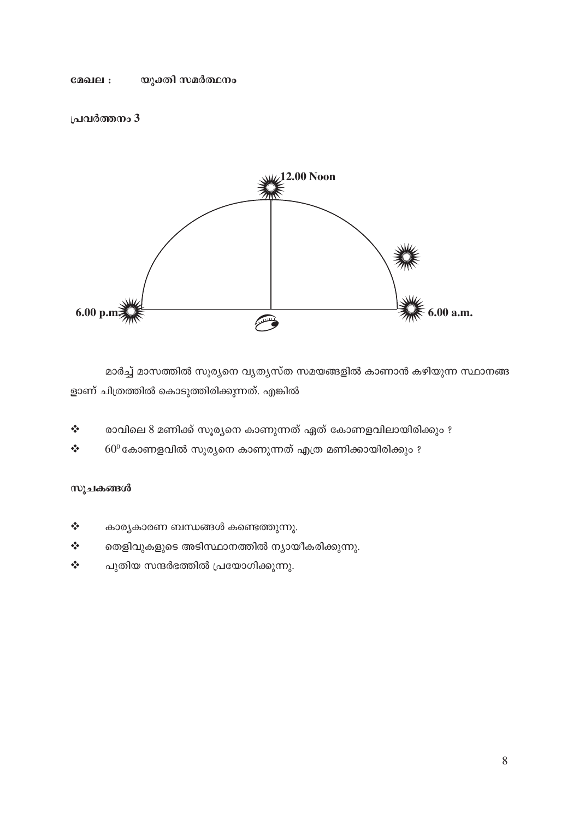#### മേഖല $:$ യുക്തി സമർത്ഥനം

### പ്രവർത്തനം 3



മാർച്ച് മാസത്തിൽ സൂര്യനെ വ്യത്യസ്ത സമയങ്ങളിൽ കാണാൻ കഴിയുന്ന സ്ഥാനങ്ങ ളാണ് ചിത്രത്തിൽ കൊടുത്തിരിക്കുന്നത്. എങ്കിൽ

- രാവിലെ 8 മണിക്ക് സൂര്യനെ കാണുന്നത് ഏത് കോണളവിലായിരിക്കും ?  $\frac{1}{2}$
- $60^0$ കോണളവിൽ സൂര്യനെ കാണുന്നത് എത്ര മണിക്കായിരിക്കും ?  $\frac{1}{2}$

- $\frac{1}{2}$ കാര്യകാരണ ബന്ധങ്ങൾ കണ്ടെത്തുന്നു.
- തെളിവുകളുടെ അടിസ്ഥാനത്തിൽ ന്യായീകരിക്കുന്നു.  $\frac{1}{2}$
- $\frac{1}{2}$ പുതിയ സന്ദർഭത്തിൽ പ്രയോഗിക്കുന്നു.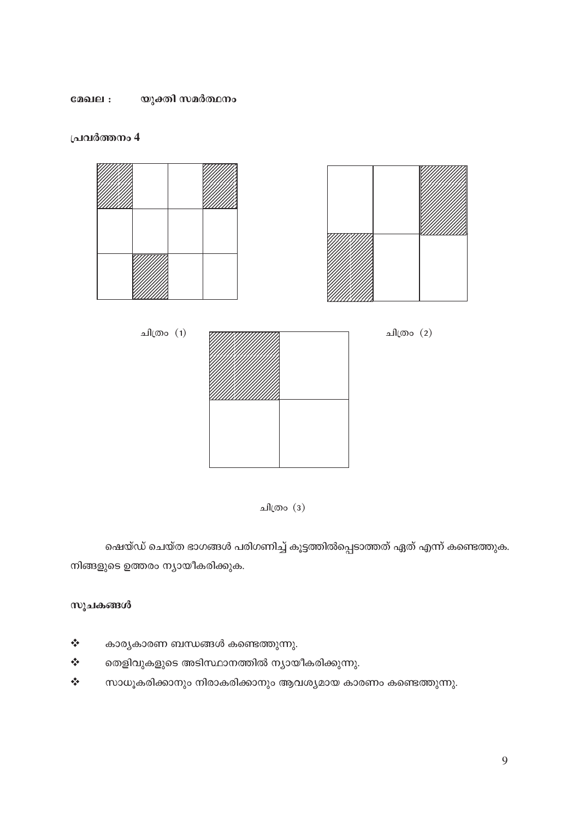### മേഖല : യുക്തി സമർത്ഥനം

### **പ്രവർത്തനം 4**





ഷെയ്ഡ് ചെയ്ത ഭാഗങ്ങൾ പരിഗണിച്ച് കൂട്ടത്തിൽപ്പെടാത്തത് ഏത് എന്ന് കണ്ടെത്തുക. നിങ്ങളുടെ ഉത്തരം ന്യായീകരിക്കുക.

- $\mathbf{\dot{\cdot}}$  കാര്യകാരണ ബന്ധങ്ങൾ കണ്ടെത്തുന്നു.
- ❖ ഒതളിവുകളുടെ അടിസ്ഥാനത്തിൽ നൃായീകരിക്കുന്നു.
- $\bm{\dot{\cdot}}$  സാധൂകരിക്കാനും നിരാകരിക്കാനും ആവശ്യമായ കാരണം കണ്ടെത്തുന്നു.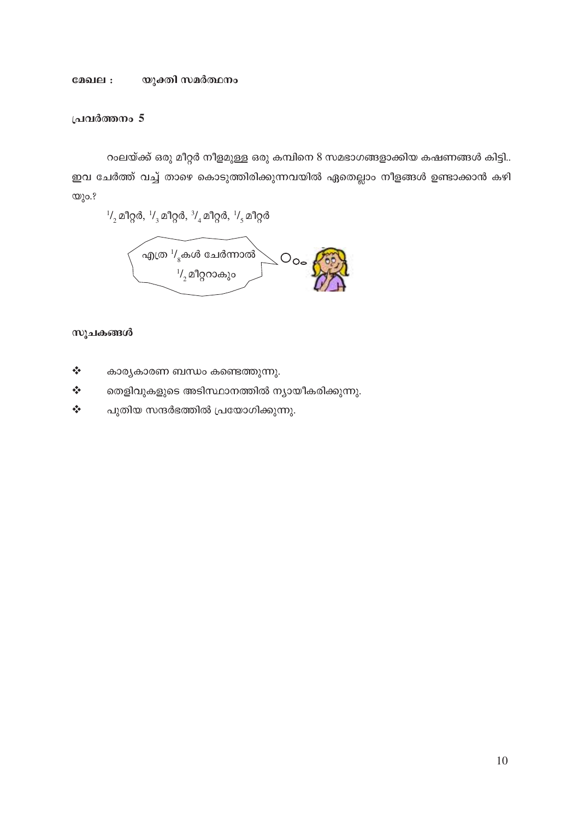#### മേഖല $:$ യുക്തി സമർത്ഥനം

#### പ്രവർത്തനം 5

റംലയ്ക്ക് ഒരു മീറ്റർ നീളമുള്ള ഒരു കമ്പിനെ 8 സമഭാഗങ്ങളാക്കിയ കഷണങ്ങൾ കിട്ടി.. ഇവ ചേർത്ത് വച്ച് താഴെ കൊടുത്തിരിക്കുന്നവയിൽ ഏതെല്ലാം നീളങ്ങൾ ഉണ്ടാക്കാൻ കഴി  $ω$ ) o.?

 $^{1}/_{2}$  മീറ്റർ,  $^{1}/_{3}$  മീറ്റർ,  $^{3}/_{4}$  മീറ്റർ,  $^{1}/_{5}$  മീറ്റർ



- $\frac{1}{2}$ കാര്യകാരണ ബന്ധം കണ്ടെത്തുന്നു.
- $\frac{1}{2}$ തെളിവുകളുടെ അടിസ്ഥാനത്തിൽ ന്യായീകരിക്കുന്നു.
- $\frac{1}{2}$ പുതിയ സന്ദർഭത്തിൽ പ്രയോഗിക്കുന്നു.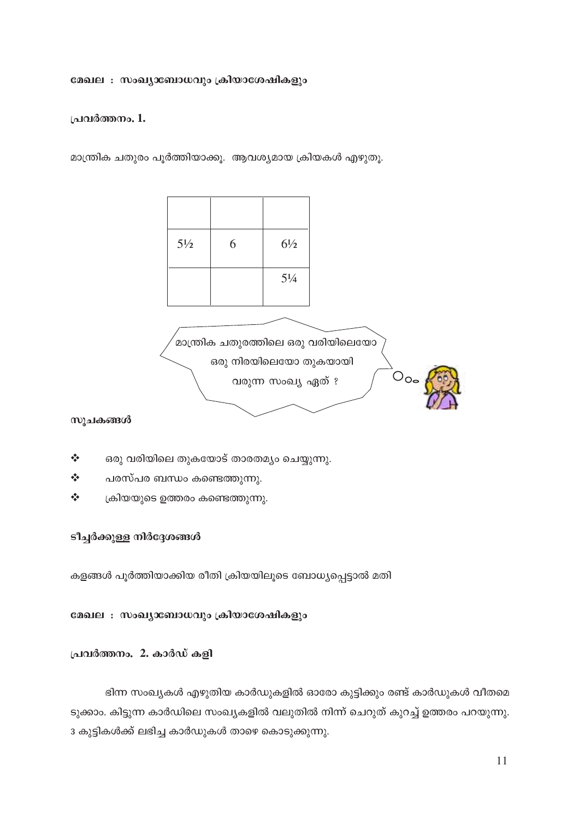ടുക്കാം. കിട്ടുന്ന കാർഡിലെ സംഖ്യകളിൽ വലുതിൽ നിന്ന് ചെറുത് കുറച്ച് ഉത്തരം പറയുന്നു. 3 കുട്ടികൾക്ക് ലഭിച്ച കാർഡുകൾ താഴെ കൊടുക്കുന്നു.

ഭിന്ന സംഖ്യകൾ എഴുതിയ കാർഡുകളിൽ ഓരോ കുട്ടിക്കും രണ്ട് കാർഡുകൾ വീതമെ

# പ്രവർത്തനം. 2. കാർഡ് കളി

കളങ്ങൾ പൂർത്തിയാക്കിയ രീതി ക്രിയയിലൂടെ ബോധ്യപ്പെട്ടാൽ മതി

## ടീച്ചർക്കുള്ള നിർദ്ദേശങ്ങൾ

സുചകങ്ങൾ

മേഖല : സംഖ്യാബോധവും ക്രിയാശേഷികളും

- $\frac{1}{2}$ ക്രിയയുടെ ഉത്തരം കണ്ടെത്തുന്നു.
- $\frac{1}{2}$ പരസ്പര ബന്ധം കണ്ടെത്തുന്നു.
- ഒരു വരിയിലെ തുകയോട് താരതമ്യം ചെയ്യുന്നു.
- 
- 
- 
- 
- 
- 
- 
- 







മാന്ത്രിക ചതുരം പൂർത്തിയാക്കൂ. ആവശ്യമായ ക്രിയകൾ എഴുതൂ.

## പ്രവർത്തനം. 1.

## മേഖല : സംഖ്യാബോധവും ക്രിയാശേഷികളും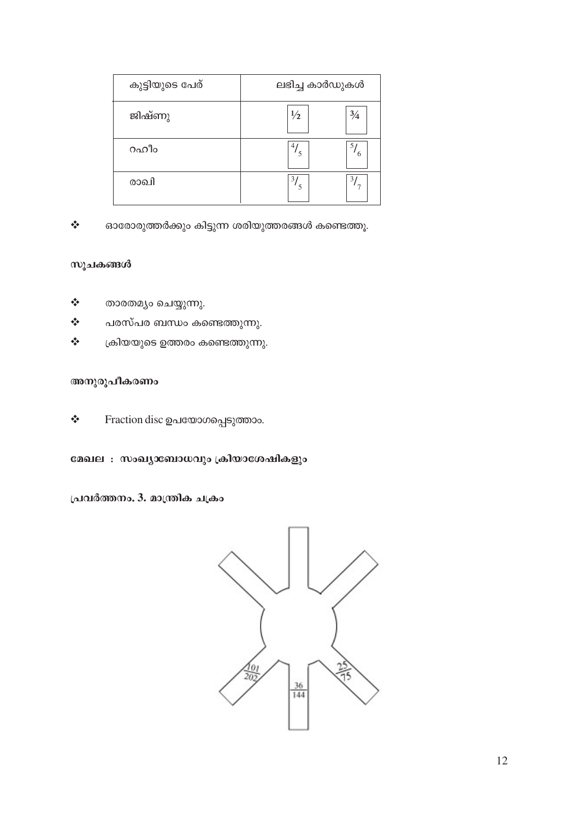| കുട്ടിയുടെ പേര് | ലഭിച്ച കാർഡുകൾ |  |
|-----------------|----------------|--|
| ജിഷ്ണു          | $\frac{1}{2}$  |  |
| റഹീം            | 6              |  |
| രാഖി            |                |  |

ഓരോരുത്തർക്കും കിട്ടുന്ന ശരിയുത്തരങ്ങൾ കണ്ടെത്തൂ.  $\frac{1}{2}$ 

## സൂചകങ്ങൾ

- താരതമ്യം ചെയ്യുന്നു.  $\frac{1}{2}$
- $\frac{1}{2}$ പരസ്പര ബന്ധം കണ്ടെത്തുന്നു.
- $\frac{1}{2}$ ക്രിയയുടെ ഉത്തരം കണ്ടെത്തുന്നു.

## അനുരൂപീകരണം

- Fraction disc ഉപയോഗപ്പെടുത്താം.  $\frac{1}{2}$
- മേഖല : സംഖ്യാബോധവും ക്രിയാശേഷികളും

പ്രവർത്തനം. 3. മാന്ത്രിക ചക്രം

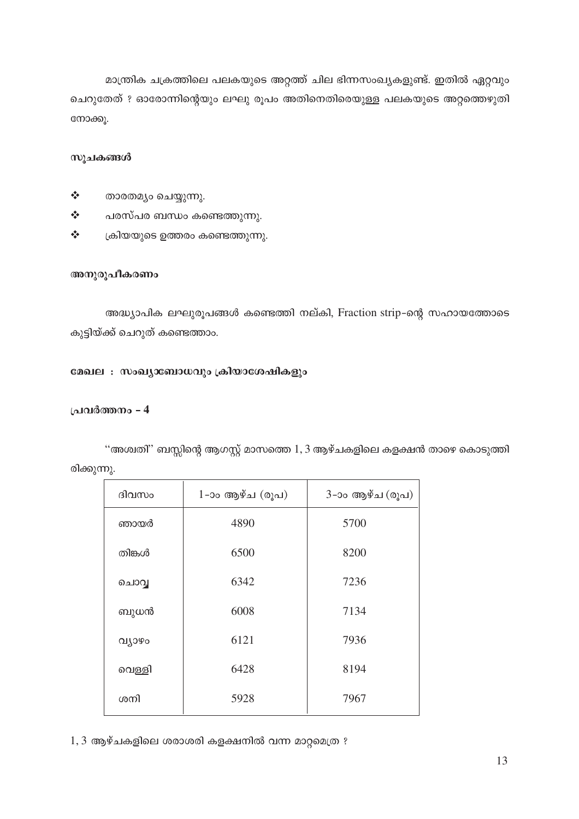മാന്ത്രിക ചക്രത്തിലെ പലകയുടെ അറ്റത്ത് ചില ഭിന്നസംഖ്യകളുണ്ട്. ഇതിൽ ഏറ്റവും ചെറുതേത് ? ഓരോന്നിന്റെയും ലഘു രൂപം അതിനെതിരെയുള്ള പലകയുടെ അറ്റത്തെഴുതി നോക്കു.

#### സുചകങ്ങൾ

- $\sigma_{\rm eff}^{\rm th}$ താരതമ്യം ചെയ്യുന്നു.
- $\frac{1}{2}$ പരസ്പര ബന്ധം കണ്ടെത്തുന്നു.
- $\frac{1}{2}$ ക്രിയയുടെ ഉത്തരം കണ്ടെത്തുന്നു.

### അനുരൂപീകരണം

അദ്ധ്യാപിക ലഘുരൂപങ്ങൾ കണ്ടെത്തി നല്കി, Fraction strip-ന്റെ സഹായത്തോടെ കുട്ടിയ്ക്ക് ചെറുത് കണ്ടെത്താം.

## മേഖല : സംഖ്യാബോധവും ക്രിയാശേഷികളും

#### പ്രവർത്തനം - 4

"അശ്വതി" ബസ്സിന്റെ ആഗസ്റ്റ് മാസത്തെ 1,3 ആഴ്ചകളിലെ കളക്ഷൻ താഴെ കൊടുത്തി രിക്കുന്നു.

| ദിവസം  | 1-ാം ആഴ്ച (രൂപ) | $3$ -ാം ആഴ്ച $($ രൂപ $)$ |
|--------|-----------------|--------------------------|
| ഞായർ   | 4890            | 5700                     |
| തിങ്കൾ | 6500            | 8200                     |
| ചൊവ്വ  | 6342            | 7236                     |
| ബുധൻ   | 6008            | 7134                     |
| വ്യാഴം | 6121            | 7936                     |
| വെള്ളി | 6428            | 8194                     |
| ശനി    | 5928            | 7967                     |

 $1, 3$  ആഴ്ചകളിലെ ശരാശരി കളക്ഷനിൽ വന്ന മാറ്റമെത്ര ?